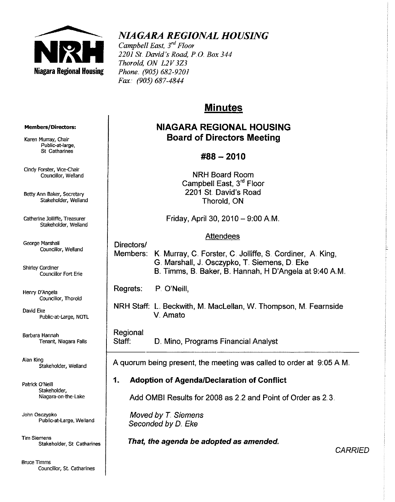

# *NIAGARA REGIONAL HOUSING*

*Campbell East, 3*rd *Floor 2201* Sf. *David's Road, PO Box 344 Thorold, ON L2V323 Phone* (905) 682-9201 *Fax. (905) 687-4844* 

# **Minutes**

# **NIAGARA REGIONAL HOUSING Board of Directors Meeting**

# **#88-2010**

NRH Board Room Campbell East, 3rd Floor 2201 St. David's Road Thorold, ON

Friday, April 30, 2010 - 9:00 AM.

# **Attendees**

Directors/ Members: K. Murray, C. Forster, C. Jolliffe, S. Cordiner, A. King, G. Marshall, J. Osczypko, T. Siemens, D. Eke B. Timms, B. Baker, B. Hannah, H D'Angela at 9:40 A.M.

Regrets: P. O'Neill,

NRH Staff: L. Beckwith, M. MacLellan, W. Thompson, M. Fearnside V.Amato

Regional

Staff: D. Mino, Programs Financial Analyst

A quorum being present, the meeting was called to order at 9:05 A.M.

# **1. Adoption of Agenda/Declaration of Conflict**

Add OMBI Results for 2008 as 2.2 and Point of Order as 2.3.

Moved by *T.* Siemens Seconded by D. Eke

**That, the agenda be adopted as amended.** 

**CARRIED** 

#### Members/Directors:

**Karen Murray, Chair Public-at-Iarge, 8t Catharines** 

**Cindy Forster, Vice-Chair Councillor, Weiland** 

Betty Ann Baker, Secretary Stakeholder, Weiland

**catherine Jolliffe, Treasurer**  Stakeholder, Weiland

George Marshall **Councillor, Weiland** 

**Shirley Cordiner Councillor Fort Erie** 

Henry D'Angela Councillor, Thorold

David Eke Public-at-large, NOTL

Barbara Hannah **Tenant, Niagara Falls** 

Aian King Stakeholder, Weiland

Patrick O'Neill Stakeholder, **Niagara-on-the-Lake** 

**John Osczypko Public-at-large, Wetland** 

**Tim Siemens Stakeholder, 5t Catharines** 

**Bruce Timms Councillor, St catharines**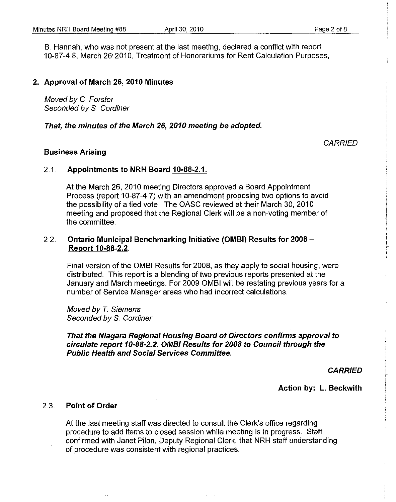S. Hannah, who was not present at the last meeting, declared a conflict with report 10-87-4.8, March 26' 2010, Treatment of Honorariums for Rent Calculation Purposes,

#### 2. Approval of March 26, 2010 Minutes

Moved by C. Forster Seconded by S. Cordiner

#### That, the minutes of the March 26, 2010 meeting be adopted.

**CARRIED** 

#### Business Arising

#### 2.1. Appointments to NRH Board 10-88-2.1.

At the March 26, 2010 meeting Directors approved a Soard Appointment Process (report 10-87-4.7) with an amendment proposing two options to avoid the possibility of a tied vote. The OASC reviewed at their March 30, 2010 meeting and proposed that the Regional Clerk will be a non-voting member of the committee.

## 2.2. Ontario Municipal Benchmarking Initiative (OMBI) Results for 2008 - Report 10-88-2.2 ..

Final version of the OMSI Results for 2008, as they apply to social housing, were distributed. This report is a blending of two previous reports presented at the January and March meetings. For 2009 OMBI will be restating previous years for a number of Service Manager areas who had incorrect calculations ..

Moved by T. Siemens Seconded by S. Cordiner

 $\sim$   $\sim$ 

That the Niagara Regional Housing Board of Directors confirms approval to circulate report 10-88-2.2. OMBI Results for 2008 to Council through the Public Health and Social Services Committee.

**CARRIED** 

Action by: L. Beckwith

#### 2.3.. Point of Order

At the last meeting staff was directed to consult the Clerk's office regarding procedure to add items to closed session while meeting is in progress. Staff confirmed with Janet Pilon, Deputy Regional Clerk, that NRH staff understanding of procedure was consistent with regional practices ..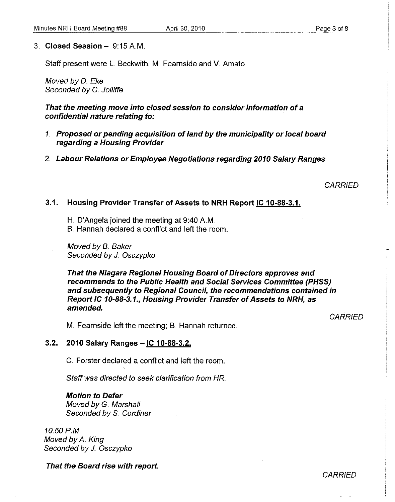# 3. **Closed Session** - 9:15 AM.

Staff present were L. Beckwith, M. Fearnside and V. Amato

Moved by D. Eke Seconded by C. Jolliffe

**That the meeting move into closed session to consider information of a confidential nature relating to:** 

- *1.* **Proposed 01' pending acquisition of land by the municipality 01' local board regarding a Housing Provider**
- *2.* **Labour Relations 01' Employee Negotiations regarding 2010 Salary Ranges**

**CARRIED** 

#### **3.1. Housing Provider Transfer of Assets to NRH Report IC 10-88-3.1.**

H. D'Angela joined the meeting at 9:40 AM..

B. Hannah declared a conflict and left the room.

Moved by B. Baker Seconded by J. Osczypko

**That the Niagara Regional Housing Board of Directors approves and recommends to the Public Health and Social Services Committee (PHSS) and subsequently to Regional Council, the recommendations contained in Report IC 10-88-3.1., Housing Provider Transfer of Assets to NRH, as amended.** 

**CARRIED** 

M. Fearnside left the meeting; B. Hannah returned.

#### **3.2. 2010 Salary Ranges -IC 10-88-3.2.**

C. Forster declared a conflict and left the room.

Staff was directed to seek clarification from HR

#### **Motion to Defer**

Moved by G. Marshall Seconded by S. Cordiner

10.50PM Moved by A. King Seconded by J. Osczypko

**That the Board rise with report.** 

# **CARRIED**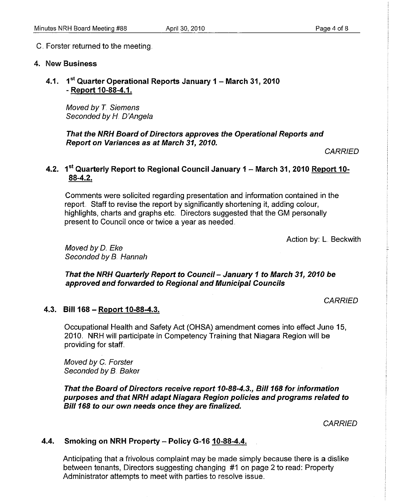# C. Forster returned to the meeting ..

#### 4. New Business

4.1. 1<sup>st</sup> Quarter Operational Reports January 1 - March 31, 2010 - Report 10-88-4.1.

Moved by *T.* Siemens Seconded by H. D'Angela

That the NRH Board of Directors approves the Operational Reports and Report on Variances as at March 31, 2010.

**CARRIED** 

# 4.2. 1<sup>st</sup> Quarterly Report to Regional Council January 1 - March 31, 2010 Report 10-88-4.2.

Comments were solicited regarding presentation and information contained in the report. Staff to revise the report by significantly shortening it, adding colour, highlights, charts and graphs etc.. Directors suggested that the GM personally present to Council once or twice a year as needed.

Action by: L. Beckwith

Moved by D. Eke Seconded by B. Hannah

That the NRH Quarterly Report to Council- January 1 to March 31, 2010 be approved and forwarded to Regional and Municipal Councils

**CARRIED** 

#### 4.3. Bill 168 - Report 10-88-4.3.

Occupational Health and Safety Act (OHSA) amendment comes into effect June 15, 2010. NRH will participate in Competency Training that Niagara Region will be providing for staff.

Moved by C. Forster Seconded by B. Baker

That the Board of Directors receive report 10-88-4.3., Bil/168 for information purposes and that NRH adapt Niagara Region policies and programs related to Bill 168 to our own needs once they are finalized.

**CARRIED** 

# 4.4. Smoking on NRH Property - Policy G-16 10-88-4.4.

Anticipating that a frivolous complaint may be made simply because there is a dislike between tenants, Directors suggesting changing #1 on page 2 to read: Property Administrator attempts to meet with parties to resolve issue ..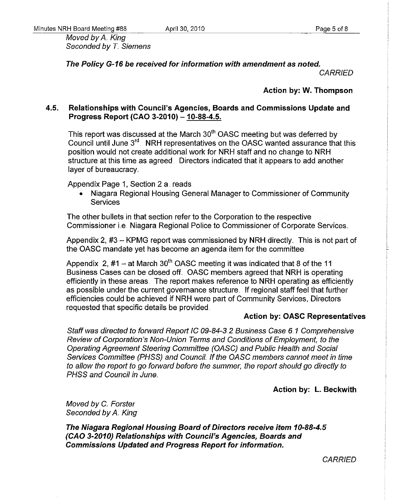Moved by A. King Seconded by *T.* Siemens

The Policy G·16 be received for information with amendment as noted,

**CARRIED** 

# Action by: W. Thompson

# 4.5. Relationships with Council's Agencies, Boards and Commissions Update and Progress Report (CAO 3-2010) - 10-88-4.5.

This report was discussed at the March 30<sup>th</sup> OASC meeting but was deferred by Council until June  $3<sup>rd</sup>$ . NRH representatives on the OASC wanted assurance that this position would not create additional work for NRH staff and no change to NRH structure at this time as agreed. Directors indicated that it appears to add another layer of bureaucracy.

Appendix Page 1, Section 2 a. reads

• Niagara Regional Housing General Manager to Commissioner of Community **Services** 

The other bullets in that section refer to the Corporation to the respective Commissioner i.e. Niagara Regional Police to Commissioner of Corporate Services ..

Appendix 2, #3 - KPMG report was commissioned by NRH directly. This is not part of the OASC mandate yet has become an agenda item for the committee.

Appendix 2, #1 - at March  $30<sup>th</sup>$  OASC meeting it was indicated that 8 of the 11 Business Cases can be closed off. OASC members agreed that NRH is operating efficiently in these areas. The report makes reference to NRH operating as efficiently as possible under the current governance structure. If regional staff feel that further efficiencies could be achieved if NRH were part of Community Services, Directors requested that specific details be provided ..

## Action by: OASC Representatives

Staff was directed to forward Report IC 09-84-3.2 Business Case 6.1 Comprehensive Review of Corporation's Non-Union Terms and Conditions of Employment, to the Operating Agreement Steering Committee (OASC) and Public Health and Social Services Committee (PHSS) and Council. If the OASC members cannot meet in time to allow the report to go forward before the summer; the report should go directly to PHSS and Council in June.

Action by: L. Beckwith

Moved by C. Forster Seconded by A. King

The Niagara Regional Housing Board of Directors receive item 10·88·4.5 (CAO 3·2010) Relationships with Council's Agencies, Boards and Commissions Updated and Progress Report for information.

**CARRIED**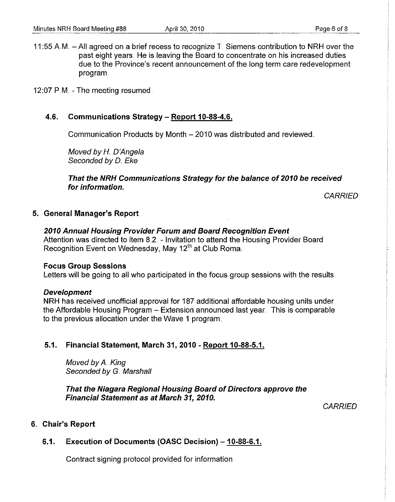11:55 A.M.  $-$  All agreed on a brief recess to recognize T. Siemens contribution to NRH over the past eight years. He is leaving the Board to concentrate on his increased duties due to the Province's recent announcement of the long term care redevelopment program.

12:07 P.M. - The meeting resumed.

## 4.6. Communications Strategy - Report 10-88-4.6.

Communication Products by Month - 2010 was distributed and reviewed.

Moved by H. D'Angela Seconded by D. Eke

That the NRH Communications Strategy for the balance of 2010 be received for information.

**CARRIED** 

#### 5. General Manager's Report

2010 Annual Housing Provider Forum and Board Recognition Event Attention was directed to item 8.2. - Invitation to attend the Housing Provider Board Recognition Event on Wednesday, May 12<sup>th</sup> at Club Roma.

#### Focus Group Sessions

Letters will be going to all who participated in the focus group sessions with the results.

#### Development

NRH has received unofficial approval for 187 additional affordable housing units under the Affordable Housing Program - Extension announced last year. This is comparable to the previous allocation under the Wave 1 program..

# 5.1. Financial Statement, March 31, 2010 - Report 10-88-5.1.

Moved by A. King Seconded by G. Marshall

That the Niagara Regional Housing Board of Directors approve the Financial Statement as at March 31,2010.

**CARRIED** 

#### 6.. Chair's Report

# 6.1. Execution of Documents (OASC Decision) - 10-88-6.1.

Contract signing protocol provided for information.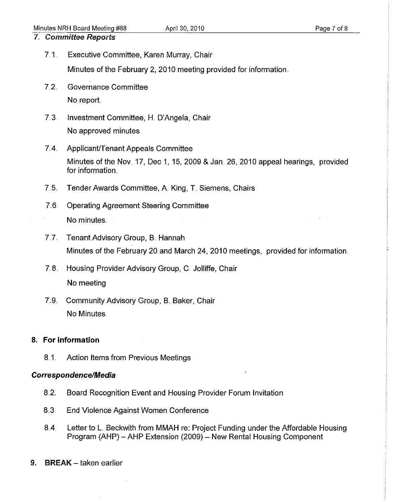# 7" Committee Reports

7.1.. Executive Committee, Karen Murray, Chair

Minutes of the February 2, 2010 meeting provided for information.

- 7.2. Governance Committee No report
- 7..3. Investment Committee, H. D'Angela, Chair No approved minutes
- 7.4. Applicant/Tenant Appeals Committee Minutes of the Nov. 17, Dec 1, 15, 2009 & Jan. 26, 2010 appeal hearings, provided for information.
- 7.5. Tender Awards Committee, A. King, T. Siemens, Chairs
- 7..6. Operating Agreement Steering Committee No minutes.
- 7.7. Tenant Advisory Group, B. Hannah Minutes of the February 20 and March 24, 2010 meetings, provided for information.
- 7.8. Housing Provider Advisory Group, C. Jolliffe, Chair No meeting
- 7.9. Community Advisory Group, B. Baker, Chair No Minutes.

# 8. **For information**

8.1. Action Items from Previous Meetings

# Correspondence/Media

- 8.2.. Board Recognition Event and Housing Provider Forum Invitation
- 8.3. End Violence Against Women Conference
- 84. Letter to L. Beckwith from MMAH re: Project Funding under the Affordable Housing Program (AHP) - AHP Extension (2009) - New Rental Housing Component
- 9. BREAK taken earlier